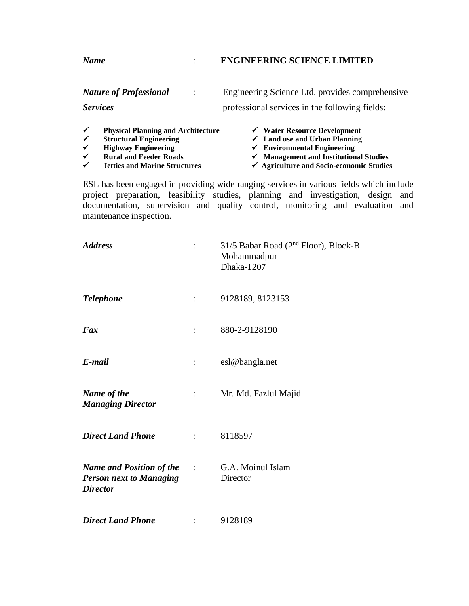## *Name* : **ENGINEERING SCIENCE LIMITED**

|                              | <b>Nature of Professional</b>                               | Engineering Science Ltd. provides comprehensive                                    |  |  |
|------------------------------|-------------------------------------------------------------|------------------------------------------------------------------------------------|--|--|
| <b>Services</b>              |                                                             | professional services in the following fields:                                     |  |  |
| $\checkmark$<br>$\checkmark$ | <b>Physical Planning and Architecture</b>                   | $\checkmark$ Water Resource Development                                            |  |  |
| $\checkmark$                 | <b>Structural Engineering</b><br><b>Highway Engineering</b> | $\checkmark$ Land use and Urban Planning<br>$\checkmark$ Environmental Engineering |  |  |
| $\checkmark$                 | <b>Rural and Feeder Roads</b>                               | $\checkmark$ Management and Institutional Studies                                  |  |  |

- 
- -
- 
- ✓ **Rural and Feeder Roads** ✓ **Management and Institutional Studies**
	- ✓ **Jetties and Marine Structures** ✓ **Agriculture and Socio-economic Studies**

ESL has been engaged in providing wide ranging services in various fields which include project preparation, feasibility studies, planning and investigation, design and documentation, supervision and quality control, monitoring and evaluation and maintenance inspection.

| <b>Address</b>                                                                       | $\ddot{\cdot}$            | 31/5 Babar Road ( $2nd$ Floor), Block-B<br>Mohammadpur<br>Dhaka-1207 |
|--------------------------------------------------------------------------------------|---------------------------|----------------------------------------------------------------------|
| <b>Telephone</b>                                                                     | $\mathbb{Z}^{\mathbb{Z}}$ | 9128189, 8123153                                                     |
| Fax                                                                                  | $\ddot{\cdot}$            | 880-2-9128190                                                        |
| E-mail                                                                               | :                         | esl@bangla.net                                                       |
| Name of the<br><b>Managing Director</b>                                              | $\mathbb{R}^n$            | Mr. Md. Fazlul Majid                                                 |
| <b>Direct Land Phone</b>                                                             | $\mathbb{R}^n$            | 8118597                                                              |
| <b>Name and Position of the</b><br><b>Person next to Managing</b><br><b>Director</b> | $\sim$ 100 $\pm$          | G.A. Moinul Islam<br>Director                                        |
| <b>Direct Land Phone</b>                                                             |                           | 9128189                                                              |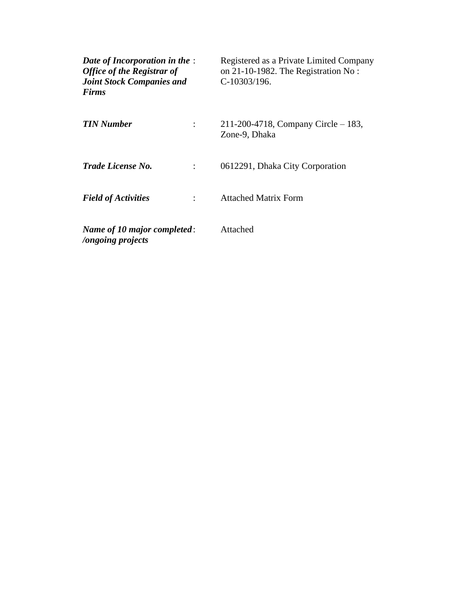| Date of Incorporation in the :<br><b>Office of the Registrar of</b><br><b>Joint Stock Companies and</b><br><b>Firms</b> | Registered as a Private Limited Company<br>on 21-10-1982. The Registration No:<br>$C-10303/196.$ |
|-------------------------------------------------------------------------------------------------------------------------|--------------------------------------------------------------------------------------------------|
| <b>TIN Number</b>                                                                                                       | 211-200-4718, Company Circle $-183$ ,<br>Zone-9, Dhaka                                           |
| Trade License No.                                                                                                       | 0612291, Dhaka City Corporation                                                                  |
| <b>Field of Activities</b>                                                                                              | <b>Attached Matrix Form</b>                                                                      |
| Name of 10 major completed:<br><i>longoing projects</i>                                                                 | Attached                                                                                         |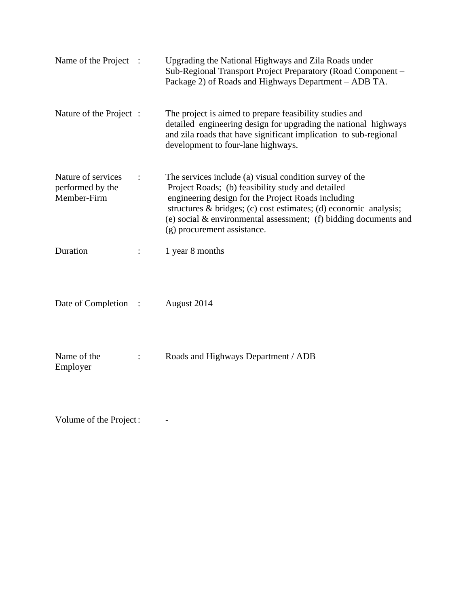| Name of the Project :                                 | Upgrading the National Highways and Zila Roads under<br>Sub-Regional Transport Project Preparatory (Road Component –<br>Package 2) of Roads and Highways Department - ADB TA.                                                                                                                                                               |
|-------------------------------------------------------|---------------------------------------------------------------------------------------------------------------------------------------------------------------------------------------------------------------------------------------------------------------------------------------------------------------------------------------------|
| Nature of the Project :                               | The project is aimed to prepare feasibility studies and<br>detailed engineering design for upgrading the national highways<br>and zila roads that have significant implication to sub-regional<br>development to four-lane highways.                                                                                                        |
| Nature of services<br>performed by the<br>Member-Firm | The services include (a) visual condition survey of the<br>Project Roads; (b) feasibility study and detailed<br>engineering design for the Project Roads including<br>structures & bridges; (c) cost estimates; (d) economic analysis;<br>(e) social $&$ environmental assessment; (f) bidding documents and<br>(g) procurement assistance. |
| Duration                                              | 1 year 8 months                                                                                                                                                                                                                                                                                                                             |
| Date of Completion :                                  | August 2014                                                                                                                                                                                                                                                                                                                                 |
| Name of the<br>Employer                               | Roads and Highways Department / ADB                                                                                                                                                                                                                                                                                                         |

Volume of the Project : -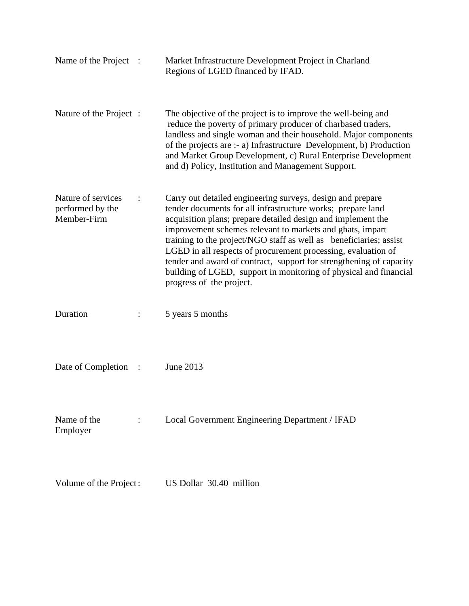| Name of the Project                                   | $\therefore$   | Market Infrastructure Development Project in Charland<br>Regions of LGED financed by IFAD.                                                                                                                                                                                                                                                                                                                                                                                                                                                                            |
|-------------------------------------------------------|----------------|-----------------------------------------------------------------------------------------------------------------------------------------------------------------------------------------------------------------------------------------------------------------------------------------------------------------------------------------------------------------------------------------------------------------------------------------------------------------------------------------------------------------------------------------------------------------------|
| Nature of the Project :                               |                | The objective of the project is to improve the well-being and<br>reduce the poverty of primary producer of charbased traders,<br>landless and single woman and their household. Major components<br>of the projects are :- a) Infrastructure Development, b) Production<br>and Market Group Development, c) Rural Enterprise Development<br>and d) Policy, Institution and Management Support.                                                                                                                                                                        |
| Nature of services<br>performed by the<br>Member-Firm |                | Carry out detailed engineering surveys, design and prepare<br>tender documents for all infrastructure works; prepare land<br>acquisition plans; prepare detailed design and implement the<br>improvement schemes relevant to markets and ghats, impart<br>training to the project/NGO staff as well as beneficiaries; assist<br>LGED in all respects of procurement processing, evaluation of<br>tender and award of contract, support for strengthening of capacity<br>building of LGED, support in monitoring of physical and financial<br>progress of the project. |
| Duration                                              |                | 5 years 5 months                                                                                                                                                                                                                                                                                                                                                                                                                                                                                                                                                      |
| Date of Completion                                    | $\cdot$ :      | June 2013                                                                                                                                                                                                                                                                                                                                                                                                                                                                                                                                                             |
| Name of the<br>Employer                               | $\ddot{\cdot}$ | Local Government Engineering Department / IFAD                                                                                                                                                                                                                                                                                                                                                                                                                                                                                                                        |
| Volume of the Project:                                |                | US Dollar 30.40 million                                                                                                                                                                                                                                                                                                                                                                                                                                                                                                                                               |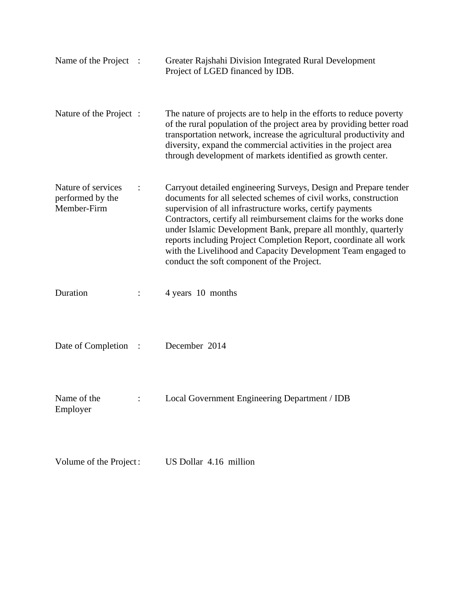| Name of the Project                                   | $\ddot{\phantom{1}}$ : | Greater Rajshahi Division Integrated Rural Development<br>Project of LGED financed by IDB.                                                                                                                                                                                                                                                                                                                                                                                                                               |
|-------------------------------------------------------|------------------------|--------------------------------------------------------------------------------------------------------------------------------------------------------------------------------------------------------------------------------------------------------------------------------------------------------------------------------------------------------------------------------------------------------------------------------------------------------------------------------------------------------------------------|
| Nature of the Project :                               |                        | The nature of projects are to help in the efforts to reduce poverty<br>of the rural population of the project area by providing better road<br>transportation network, increase the agricultural productivity and<br>diversity, expand the commercial activities in the project area<br>through development of markets identified as growth center.                                                                                                                                                                      |
| Nature of services<br>performed by the<br>Member-Firm |                        | Carryout detailed engineering Surveys, Design and Prepare tender<br>documents for all selected schemes of civil works, construction<br>supervision of all infrastructure works, certify payments<br>Contractors, certify all reimbursement claims for the works done<br>under Islamic Development Bank, prepare all monthly, quarterly<br>reports including Project Completion Report, coordinate all work<br>with the Livelihood and Capacity Development Team engaged to<br>conduct the soft component of the Project. |
| Duration                                              |                        | 4 years 10 months                                                                                                                                                                                                                                                                                                                                                                                                                                                                                                        |
| Date of Completion                                    | $\ddot{\phantom{1}}$ : | December 2014                                                                                                                                                                                                                                                                                                                                                                                                                                                                                                            |
| Name of the<br>Employer                               |                        | Local Government Engineering Department / IDB                                                                                                                                                                                                                                                                                                                                                                                                                                                                            |
| Volume of the Project:                                |                        | US Dollar 4.16 million                                                                                                                                                                                                                                                                                                                                                                                                                                                                                                   |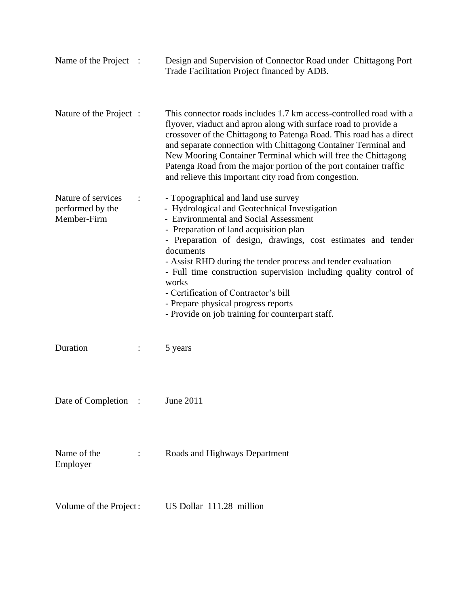| Name of the Project :                                 |                | Design and Supervision of Connector Road under Chittagong Port<br>Trade Facilitation Project financed by ADB.                                                                                                                                                                                                                                                                                                                                                                                                                         |
|-------------------------------------------------------|----------------|---------------------------------------------------------------------------------------------------------------------------------------------------------------------------------------------------------------------------------------------------------------------------------------------------------------------------------------------------------------------------------------------------------------------------------------------------------------------------------------------------------------------------------------|
| Nature of the Project :                               |                | This connector roads includes 1.7 km access-controlled road with a<br>flyover, viaduct and apron along with surface road to provide a<br>crossover of the Chittagong to Patenga Road. This road has a direct<br>and separate connection with Chittagong Container Terminal and<br>New Mooring Container Terminal which will free the Chittagong<br>Patenga Road from the major portion of the port container traffic<br>and relieve this important city road from congestion.                                                         |
| Nature of services<br>performed by the<br>Member-Firm |                | - Topographical and land use survey<br>- Hydrological and Geotechnical Investigation<br>- Environmental and Social Assessment<br>- Preparation of land acquisition plan<br>- Preparation of design, drawings, cost estimates and tender<br>documents<br>- Assist RHD during the tender process and tender evaluation<br>- Full time construction supervision including quality control of<br>works<br>- Certification of Contractor's bill<br>- Prepare physical progress reports<br>- Provide on job training for counterpart staff. |
| Duration                                              | $\ddot{\cdot}$ | 5 years                                                                                                                                                                                                                                                                                                                                                                                                                                                                                                                               |
| Date of Completion                                    |                | June 2011                                                                                                                                                                                                                                                                                                                                                                                                                                                                                                                             |
| Name of the<br>Employer                               | $\ddot{\cdot}$ | Roads and Highways Department                                                                                                                                                                                                                                                                                                                                                                                                                                                                                                         |
| Volume of the Project:                                |                | US Dollar 111.28 million                                                                                                                                                                                                                                                                                                                                                                                                                                                                                                              |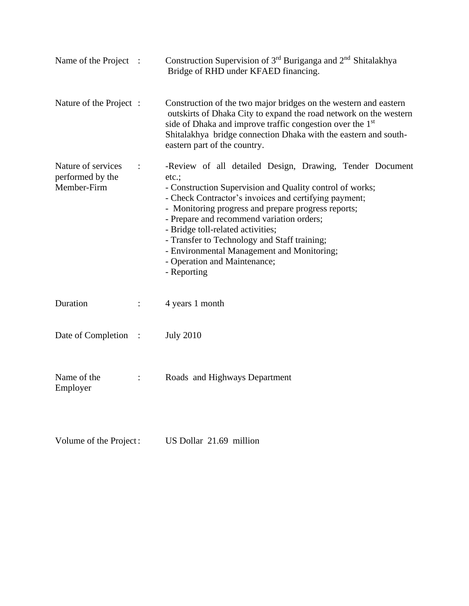| Name of the Project :                                 |                | Construction Supervision of 3 <sup>rd</sup> Buriganga and 2 <sup>nd</sup> Shitalakhya<br>Bridge of RHD under KFAED financing.                                                                                                                                                                                                                                                                                                                                               |
|-------------------------------------------------------|----------------|-----------------------------------------------------------------------------------------------------------------------------------------------------------------------------------------------------------------------------------------------------------------------------------------------------------------------------------------------------------------------------------------------------------------------------------------------------------------------------|
| Nature of the Project :                               |                | Construction of the two major bridges on the western and eastern<br>outskirts of Dhaka City to expand the road network on the western<br>side of Dhaka and improve traffic congestion over the 1 <sup>st</sup><br>Shitalakhya bridge connection Dhaka with the eastern and south-<br>eastern part of the country.                                                                                                                                                           |
| Nature of services<br>performed by the<br>Member-Firm |                | -Review of all detailed Design, Drawing, Tender Document<br>etc.<br>- Construction Supervision and Quality control of works;<br>- Check Contractor's invoices and certifying payment;<br>- Monitoring progress and prepare progress reports;<br>- Prepare and recommend variation orders;<br>- Bridge toll-related activities;<br>- Transfer to Technology and Staff training;<br>- Environmental Management and Monitoring;<br>- Operation and Maintenance;<br>- Reporting |
| Duration                                              |                | 4 years 1 month                                                                                                                                                                                                                                                                                                                                                                                                                                                             |
| Date of Completion :                                  |                | <b>July 2010</b>                                                                                                                                                                                                                                                                                                                                                                                                                                                            |
| Name of the<br>Employer                               | $\ddot{\cdot}$ | Roads and Highways Department                                                                                                                                                                                                                                                                                                                                                                                                                                               |

Volume of the Project: US Dollar 21.69 million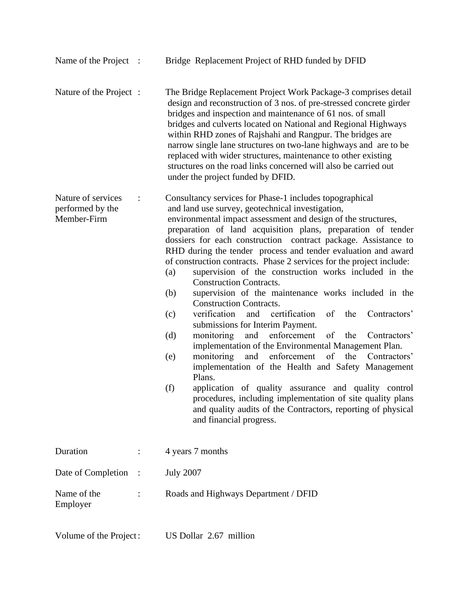| Name of the Project :                                 |                      | Bridge Replacement Project of RHD funded by DFID                                                                                                                                                                                                                                                                                                                                                                                                                                                                                                                                                                                                                                                                                                                                                                                                                                                                                                                                                                                                                                                                                                                                                                                                               |
|-------------------------------------------------------|----------------------|----------------------------------------------------------------------------------------------------------------------------------------------------------------------------------------------------------------------------------------------------------------------------------------------------------------------------------------------------------------------------------------------------------------------------------------------------------------------------------------------------------------------------------------------------------------------------------------------------------------------------------------------------------------------------------------------------------------------------------------------------------------------------------------------------------------------------------------------------------------------------------------------------------------------------------------------------------------------------------------------------------------------------------------------------------------------------------------------------------------------------------------------------------------------------------------------------------------------------------------------------------------|
| Nature of the Project :                               |                      | The Bridge Replacement Project Work Package-3 comprises detail<br>design and reconstruction of 3 nos. of pre-stressed concrete girder<br>bridges and inspection and maintenance of 61 nos. of small<br>bridges and culverts located on National and Regional Highways<br>within RHD zones of Rajshahi and Rangpur. The bridges are<br>narrow single lane structures on two-lane highways and are to be<br>replaced with wider structures, maintenance to other existing<br>structures on the road links concerned will also be carried out<br>under the project funded by DFID.                                                                                                                                                                                                                                                                                                                                                                                                                                                                                                                                                                                                                                                                                |
| Nature of services<br>performed by the<br>Member-Firm |                      | Consultancy services for Phase-1 includes topographical<br>and land use survey, geotechnical investigation,<br>environmental impact assessment and design of the structures,<br>preparation of land acquisition plans, preparation of tender<br>dossiers for each construction contract package. Assistance to<br>RHD during the tender process and tender evaluation and award<br>of construction contracts. Phase 2 services for the project include:<br>supervision of the construction works included in the<br>(a)<br><b>Construction Contracts.</b><br>(b)<br>supervision of the maintenance works included in the<br><b>Construction Contracts.</b><br>verification<br>of the<br>and<br>certification<br>Contractors'<br>(c)<br>submissions for Interim Payment.<br>and enforcement<br>monitoring<br>of the<br>(d)<br>Contractors'<br>implementation of the Environmental Management Plan.<br>of the<br>monitoring<br>and<br>enforcement<br>Contractors'<br>(e)<br>implementation of the Health and Safety Management<br>Plans.<br>application of quality assurance and quality control<br>(f)<br>procedures, including implementation of site quality plans<br>and quality audits of the Contractors, reporting of physical<br>and financial progress. |
| Duration                                              | $\ddot{\cdot}$       | 4 years 7 months                                                                                                                                                                                                                                                                                                                                                                                                                                                                                                                                                                                                                                                                                                                                                                                                                                                                                                                                                                                                                                                                                                                                                                                                                                               |
| Date of Completion                                    | $\ddot{\phantom{0}}$ | <b>July 2007</b>                                                                                                                                                                                                                                                                                                                                                                                                                                                                                                                                                                                                                                                                                                                                                                                                                                                                                                                                                                                                                                                                                                                                                                                                                                               |
| Name of the<br>Employer                               | $\ddot{\phantom{0}}$ | Roads and Highways Department / DFID                                                                                                                                                                                                                                                                                                                                                                                                                                                                                                                                                                                                                                                                                                                                                                                                                                                                                                                                                                                                                                                                                                                                                                                                                           |
| Volume of the Project:                                |                      | US Dollar 2.67 million                                                                                                                                                                                                                                                                                                                                                                                                                                                                                                                                                                                                                                                                                                                                                                                                                                                                                                                                                                                                                                                                                                                                                                                                                                         |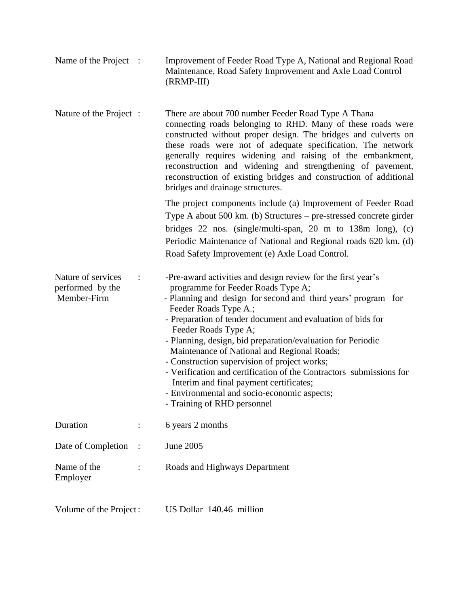| Name of the Project $\therefore$ | Improvement of Feeder Road Type A, National and Regional Road |
|----------------------------------|---------------------------------------------------------------|
|                                  | Maintenance, Road Safety Improvement and Axle Load Control    |
|                                  | (RRMP-III)                                                    |

Nature of the Project : There are about 700 number Feeder Road Type A Thana connecting roads belonging to RHD. Many of these roads were constructed without proper design. The bridges and culverts on these roads were not of adequate specification. The network generally requires widening and raising of the embankment, reconstruction and widening and strengthening of pavement, reconstruction of existing bridges and construction of additional bridges and drainage structures.

> The project components include (a) Improvement of Feeder Road Type A about 500 km. (b) Structures – pre-stressed concrete girder bridges 22 nos. (single/multi-span, 20 m to 138m long), (c) Periodic Maintenance of National and Regional roads 620 km. (d) Road Safety Improvement (e) Axle Load Control.

| Nature of services<br>performed by the<br>Member-Firm | $\sim$ 1 | -Pre-award activities and design review for the first year's<br>programme for Feeder Roads Type A;<br>- Planning and design for second and third years' program for<br>Feeder Roads Type A.;<br>- Preparation of tender document and evaluation of bids for<br>Feeder Roads Type A;<br>- Planning, design, bid preparation/evaluation for Periodic<br>Maintenance of National and Regional Roads;<br>- Construction supervision of project works;<br>- Verification and certification of the Contractors submissions for<br>Interim and final payment certificates;<br>- Environmental and socio-economic aspects;<br>- Training of RHD personnel |
|-------------------------------------------------------|----------|---------------------------------------------------------------------------------------------------------------------------------------------------------------------------------------------------------------------------------------------------------------------------------------------------------------------------------------------------------------------------------------------------------------------------------------------------------------------------------------------------------------------------------------------------------------------------------------------------------------------------------------------------|
| Duration                                              |          | 6 years 2 months                                                                                                                                                                                                                                                                                                                                                                                                                                                                                                                                                                                                                                  |
| Date of Completion :                                  |          | June 2005                                                                                                                                                                                                                                                                                                                                                                                                                                                                                                                                                                                                                                         |
| Name of the                                           |          | Roads and Highways Department                                                                                                                                                                                                                                                                                                                                                                                                                                                                                                                                                                                                                     |

Volume of the Project: US Dollar 140.46 million

Employer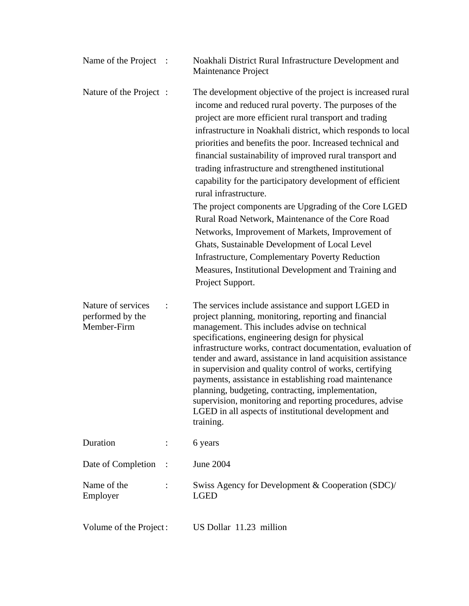| Name of the Project                                   |                        | Noakhali District Rural Infrastructure Development and<br>Maintenance Project                                                                                                                                                                                                                                                                                                                                                                                                                                                                                                                                                                                                                                                                                                                                                                                                  |
|-------------------------------------------------------|------------------------|--------------------------------------------------------------------------------------------------------------------------------------------------------------------------------------------------------------------------------------------------------------------------------------------------------------------------------------------------------------------------------------------------------------------------------------------------------------------------------------------------------------------------------------------------------------------------------------------------------------------------------------------------------------------------------------------------------------------------------------------------------------------------------------------------------------------------------------------------------------------------------|
| Nature of the Project :                               |                        | The development objective of the project is increased rural<br>income and reduced rural poverty. The purposes of the<br>project are more efficient rural transport and trading<br>infrastructure in Noakhali district, which responds to local<br>priorities and benefits the poor. Increased technical and<br>financial sustainability of improved rural transport and<br>trading infrastructure and strengthened institutional<br>capability for the participatory development of efficient<br>rural infrastructure.<br>The project components are Upgrading of the Core LGED<br>Rural Road Network, Maintenance of the Core Road<br>Networks, Improvement of Markets, Improvement of<br>Ghats, Sustainable Development of Local Level<br><b>Infrastructure, Complementary Poverty Reduction</b><br>Measures, Institutional Development and Training and<br>Project Support. |
| Nature of services<br>performed by the<br>Member-Firm |                        | The services include assistance and support LGED in<br>project planning, monitoring, reporting and financial<br>management. This includes advise on technical<br>specifications, engineering design for physical<br>infrastructure works, contract documentation, evaluation of<br>tender and award, assistance in land acquisition assistance<br>in supervision and quality control of works, certifying<br>payments, assistance in establishing road maintenance<br>planning, budgeting, contracting, implementation,<br>supervision, monitoring and reporting procedures, advise<br>LGED in all aspects of institutional development and<br>training.                                                                                                                                                                                                                       |
| Duration                                              | $\ddot{\cdot}$         | 6 years                                                                                                                                                                                                                                                                                                                                                                                                                                                                                                                                                                                                                                                                                                                                                                                                                                                                        |
| Date of Completion                                    | $\ddot{\phantom{0}}$ : | <b>June 2004</b>                                                                                                                                                                                                                                                                                                                                                                                                                                                                                                                                                                                                                                                                                                                                                                                                                                                               |
| Name of the<br>Employer                               |                        | Swiss Agency for Development & Cooperation (SDC)/<br><b>LGED</b>                                                                                                                                                                                                                                                                                                                                                                                                                                                                                                                                                                                                                                                                                                                                                                                                               |
| Volume of the Project:                                |                        | US Dollar 11.23 million                                                                                                                                                                                                                                                                                                                                                                                                                                                                                                                                                                                                                                                                                                                                                                                                                                                        |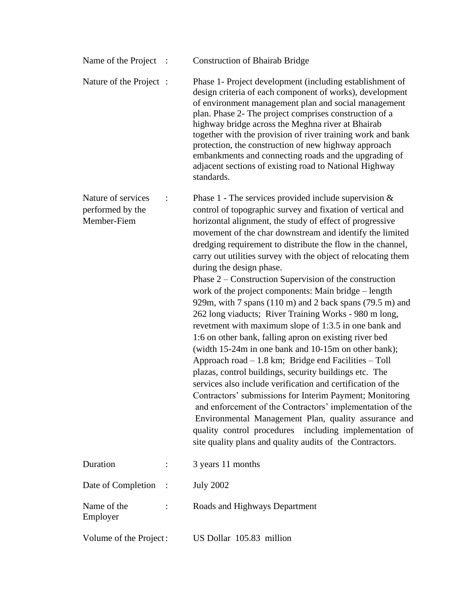| Name of the Project                                   | $\ddot{\phantom{1}}$ : | <b>Construction of Bhairab Bridge</b>                                                                                                                                                                                                                                                                                                                                                                                                                                                                                                                                                                                                                                                                                                                                                                                                                                                                                                                                                                                                                                                                                                                                                                                                                                                                                      |
|-------------------------------------------------------|------------------------|----------------------------------------------------------------------------------------------------------------------------------------------------------------------------------------------------------------------------------------------------------------------------------------------------------------------------------------------------------------------------------------------------------------------------------------------------------------------------------------------------------------------------------------------------------------------------------------------------------------------------------------------------------------------------------------------------------------------------------------------------------------------------------------------------------------------------------------------------------------------------------------------------------------------------------------------------------------------------------------------------------------------------------------------------------------------------------------------------------------------------------------------------------------------------------------------------------------------------------------------------------------------------------------------------------------------------|
| Nature of the Project :                               |                        | Phase 1- Project development (including establishment of<br>design criteria of each component of works), development<br>of environment management plan and social management<br>plan. Phase 2- The project comprises construction of a<br>highway bridge across the Meghna river at Bhairab<br>together with the provision of river training work and bank<br>protection, the construction of new highway approach<br>embankments and connecting roads and the upgrading of<br>adjacent sections of existing road to National Highway<br>standards.                                                                                                                                                                                                                                                                                                                                                                                                                                                                                                                                                                                                                                                                                                                                                                        |
| Nature of services<br>performed by the<br>Member-Fiem |                        | Phase 1 - The services provided include supervision $\&$<br>control of topographic survey and fixation of vertical and<br>horizontal alignment, the study of effect of progressive<br>movement of the char downstream and identify the limited<br>dredging requirement to distribute the flow in the channel,<br>carry out utilities survey with the object of relocating them<br>during the design phase.<br>Phase $2$ – Construction Supervision of the construction<br>work of the project components: Main bridge – length<br>929m, with 7 spans (110 m) and 2 back spans (79.5 m) and<br>262 long viaducts; River Training Works - 980 m long,<br>revetment with maximum slope of 1:3.5 in one bank and<br>1:6 on other bank, falling apron on existing river bed<br>(width 15-24m in one bank and 10-15m on other bank);<br>Approach road $-1.8$ km; Bridge end Facilities $-$ Toll<br>plazas, control buildings, security buildings etc. The<br>services also include verification and certification of the<br>Contractors' submissions for Interim Payment; Monitoring<br>and enforcement of the Contractors' implementation of the<br>Environmental Management Plan, quality assurance and<br>quality control procedures including implementation of<br>site quality plans and quality audits of the Contractors. |
| Duration                                              |                        | 3 years 11 months                                                                                                                                                                                                                                                                                                                                                                                                                                                                                                                                                                                                                                                                                                                                                                                                                                                                                                                                                                                                                                                                                                                                                                                                                                                                                                          |
| Date of Completion                                    | $\mathbb{R}^2$         | <b>July 2002</b>                                                                                                                                                                                                                                                                                                                                                                                                                                                                                                                                                                                                                                                                                                                                                                                                                                                                                                                                                                                                                                                                                                                                                                                                                                                                                                           |
| Name of the<br>Employer                               |                        | Roads and Highways Department                                                                                                                                                                                                                                                                                                                                                                                                                                                                                                                                                                                                                                                                                                                                                                                                                                                                                                                                                                                                                                                                                                                                                                                                                                                                                              |
| Volume of the Project:                                |                        | US Dollar 105.83 million                                                                                                                                                                                                                                                                                                                                                                                                                                                                                                                                                                                                                                                                                                                                                                                                                                                                                                                                                                                                                                                                                                                                                                                                                                                                                                   |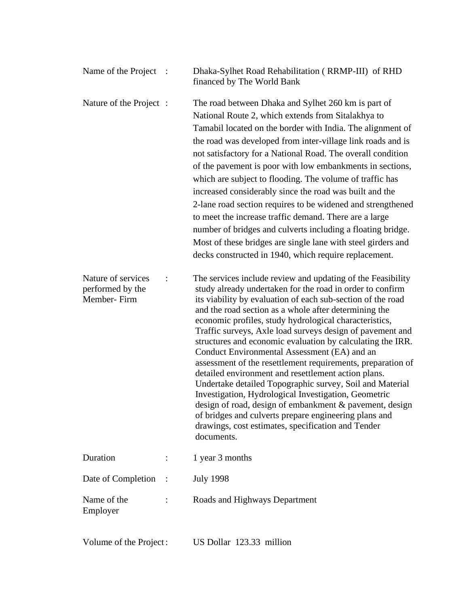| Name of the Project :                                 |  | Dhaka-Sylhet Road Rehabilitation (RRMP-III) of RHD<br>financed by The World Bank                                                                                                                                                                                                                                                                                                                                                                                                                                                                                                                                                                                                                                                                                                                                                                                                                                        |
|-------------------------------------------------------|--|-------------------------------------------------------------------------------------------------------------------------------------------------------------------------------------------------------------------------------------------------------------------------------------------------------------------------------------------------------------------------------------------------------------------------------------------------------------------------------------------------------------------------------------------------------------------------------------------------------------------------------------------------------------------------------------------------------------------------------------------------------------------------------------------------------------------------------------------------------------------------------------------------------------------------|
| Nature of the Project :                               |  | The road between Dhaka and Sylhet 260 km is part of<br>National Route 2, which extends from Sitalakhya to<br>Tamabil located on the border with India. The alignment of<br>the road was developed from inter-village link roads and is<br>not satisfactory for a National Road. The overall condition<br>of the pavement is poor with low embankments in sections,<br>which are subject to flooding. The volume of traffic has<br>increased considerably since the road was built and the<br>2-lane road section requires to be widened and strengthened<br>to meet the increase traffic demand. There are a large<br>number of bridges and culverts including a floating bridge.<br>Most of these bridges are single lane with steel girders and<br>decks constructed in 1940, which require replacement.                                                                                                              |
| Nature of services<br>performed by the<br>Member-Firm |  | The services include review and updating of the Feasibility<br>study already undertaken for the road in order to confirm<br>its viability by evaluation of each sub-section of the road<br>and the road section as a whole after determining the<br>economic profiles, study hydrological characteristics,<br>Traffic surveys, Axle load surveys design of pavement and<br>structures and economic evaluation by calculating the IRR.<br>Conduct Environmental Assessment (EA) and an<br>assessment of the resettlement requirements, preparation of<br>detailed environment and resettlement action plans.<br>Undertake detailed Topographic survey, Soil and Material<br>Investigation, Hydrological Investigation, Geometric<br>design of road, design of embankment & pavement, design<br>of bridges and culverts prepare engineering plans and<br>drawings, cost estimates, specification and Tender<br>documents. |
| Duration                                              |  | 1 year 3 months                                                                                                                                                                                                                                                                                                                                                                                                                                                                                                                                                                                                                                                                                                                                                                                                                                                                                                         |
| Date of Completion                                    |  | <b>July 1998</b>                                                                                                                                                                                                                                                                                                                                                                                                                                                                                                                                                                                                                                                                                                                                                                                                                                                                                                        |
| Name of the<br>Employer                               |  | Roads and Highways Department                                                                                                                                                                                                                                                                                                                                                                                                                                                                                                                                                                                                                                                                                                                                                                                                                                                                                           |
| Volume of the Project:                                |  | US Dollar 123.33 million                                                                                                                                                                                                                                                                                                                                                                                                                                                                                                                                                                                                                                                                                                                                                                                                                                                                                                |